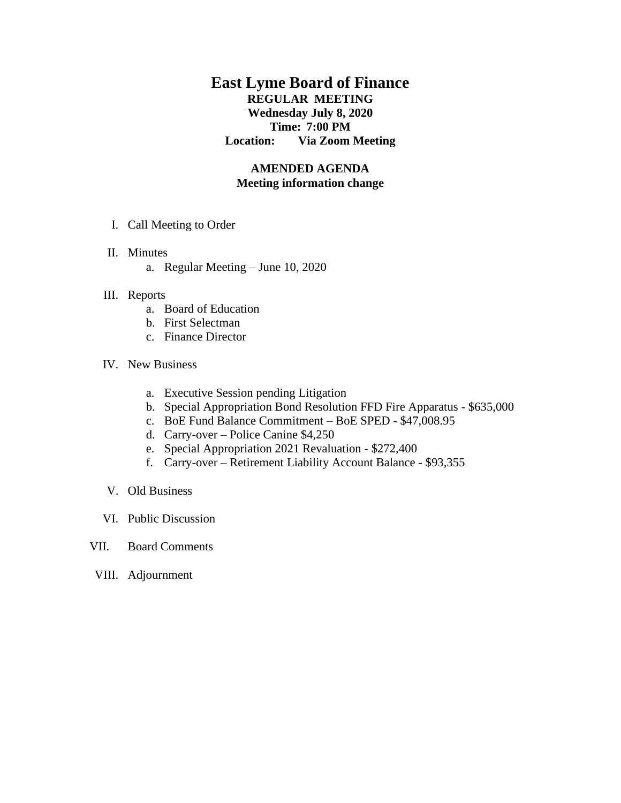# **East Lyme Board of Finance REGULAR MEETING Wednesday July 8, 2020 Time: 7:00 PM Location: Via Zoom Meeting**

## **AMENDED AGENDA Meeting information change**

- I. Call Meeting to Order
- II. Minutes
	- a. Regular Meeting June 10, 2020

### III. Reports

- a. Board of Education
- b. First Selectman
- c. Finance Director

#### IV. New Business

- a. Executive Session pending Litigation
- b. Special Appropriation Bond Resolution FFD Fire Apparatus \$635,000
- c. BoE Fund Balance Commitment BoE SPED \$47,008.95
- d. Carry-over Police Canine \$4,250
- e. Special Appropriation 2021 Revaluation \$272,400
- f. Carry-over Retirement Liability Account Balance \$93,355
- V. Old Business
- VI. Public Discussion
- VII. Board Comments
- VIII. Adjournment